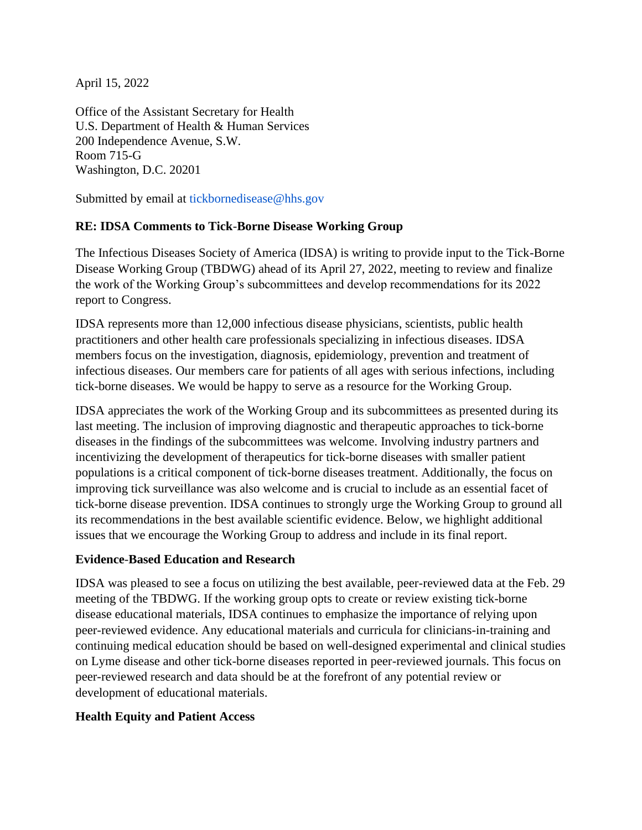April 15, 2022

Office of the Assistant Secretary for Health U.S. Department of Health & Human Services 200 Independence Avenue, S.W. Room 715-G Washington, D.C. 20201

Submitted by email at [tickbornedisease@hhs.gov](mailto:tickbornedisease@hhs.gov)

## **RE: IDSA Comments to Tick**-**Borne Disease Working Group**

The Infectious Diseases Society of America (IDSA) is writing to provide input to the Tick-Borne Disease Working Group (TBDWG) ahead of its April 27, 2022, meeting to review and finalize the work of the Working Group's subcommittees and develop recommendations for its 2022 report to Congress.

IDSA represents more than 12,000 infectious disease physicians, scientists, public health practitioners and other health care professionals specializing in infectious diseases. IDSA members focus on the investigation, diagnosis, epidemiology, prevention and treatment of infectious diseases. Our members care for patients of all ages with serious infections, including tick-borne diseases. We would be happy to serve as a resource for the Working Group.

IDSA appreciates the work of the Working Group and its subcommittees as presented during its last meeting. The inclusion of improving diagnostic and therapeutic approaches to tick-borne diseases in the findings of the subcommittees was welcome. Involving industry partners and incentivizing the development of therapeutics for tick-borne diseases with smaller patient populations is a critical component of tick-borne diseases treatment. Additionally, the focus on improving tick surveillance was also welcome and is crucial to include as an essential facet of tick-borne disease prevention. IDSA continues to strongly urge the Working Group to ground all its recommendations in the best available scientific evidence. Below, we highlight additional issues that we encourage the Working Group to address and include in its final report.

## **Evidence**-**Based Education and Research**

IDSA was pleased to see a focus on utilizing the best available, peer-reviewed data at the Feb. 29 meeting of the TBDWG. If the working group opts to create or review existing tick-borne disease educational materials, IDSA continues to emphasize the importance of relying upon peer-reviewed evidence. Any educational materials and curricula for clinicians-in-training and continuing medical education should be based on well-designed experimental and clinical studies on Lyme disease and other tick-borne diseases reported in peer-reviewed journals. This focus on peer-reviewed research and data should be at the forefront of any potential review or development of educational materials.

## **Health Equity and Patient Access**